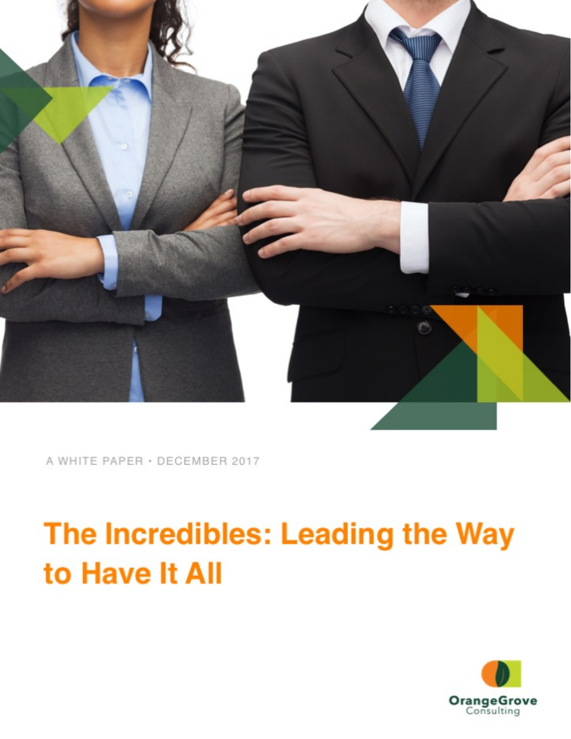

A WHITE PAPER · DECEMBER 2017

# The Incredibles: Leading the Way to Have It All

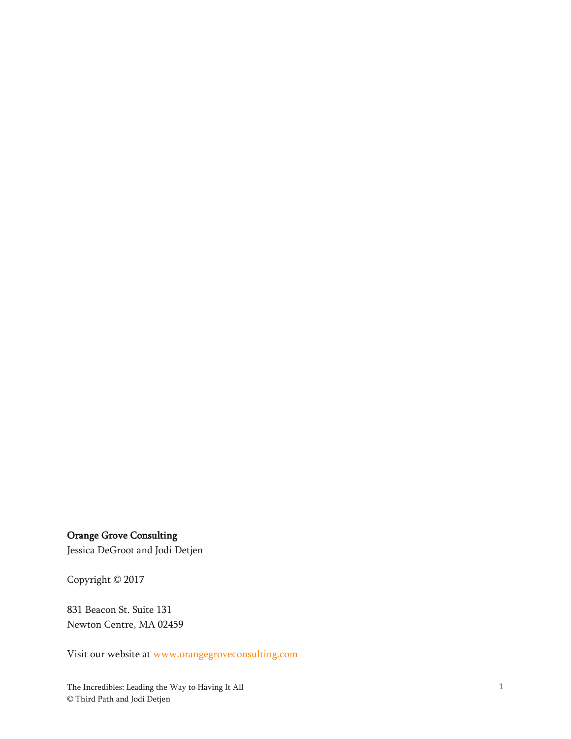### Orange Grove Consulting

Jessica DeGroot and Jodi Detjen

Copyright © 2017

831 Beacon St. Suite 131 Newton Centre, MA 02459

Visit our website at [www.orangegroveconsulting.com](http://www.orangegroveconsulting.com/)

The Incredibles: Leading the Way to Having It All © Third Path and Jodi Detjen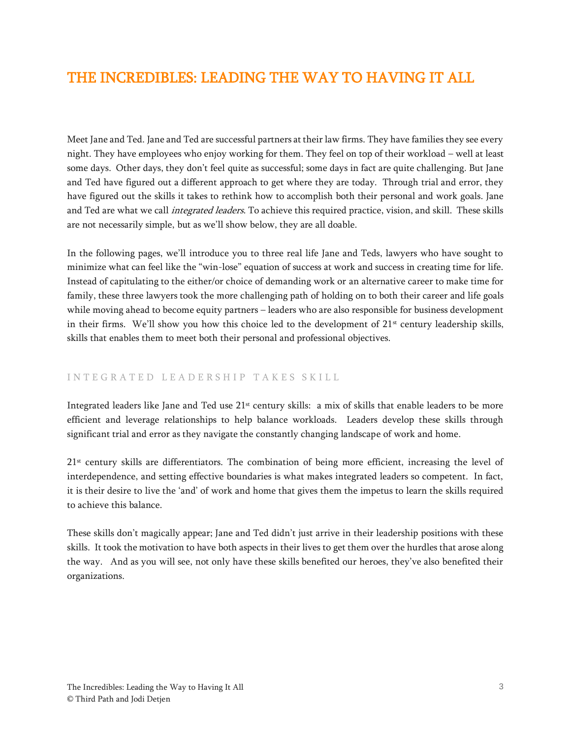## THE INCREDIBLES: LEADING THE WAY TO HAVING IT ALL

Meet Jane and Ted. Jane and Ted are successful partners at their law firms. They have families they see every night. They have employees who enjoy working for them. They feel on top of their workload – well at least some days. Other days, they don't feel quite as successful; some days in fact are quite challenging. But Jane and Ted have figured out a different approach to get where they are today. Through trial and error, they have figured out the skills it takes to rethink how to accomplish both their personal and work goals. Jane and Ted are what we call *integrated leaders*. To achieve this required practice, vision, and skill. These skills are not necessarily simple, but as we'll show below, they are all doable.

In the following pages, we'll introduce you to three real life Jane and Teds, lawyers who have sought to minimize what can feel like the "win-lose" equation of success at work and success in creating time for life. Instead of capitulating to the either/or choice of demanding work or an alternative career to make time for family, these three lawyers took the more challenging path of holding on to both their career and life goals while moving ahead to become equity partners – leaders who are also responsible for business development in their firms. We'll show you how this choice led to the development of 21<sup>st</sup> century leadership skills, skills that enables them to meet both their personal and professional objectives.

#### INTEGRATED LEADERSHIP TAKES SKILL

Integrated leaders like Jane and Ted use 21<sup>st</sup> century skills: a mix of skills that enable leaders to be more efficient and leverage relationships to help balance workloads. Leaders develop these skills through significant trial and error as they navigate the constantly changing landscape of work and home.

 $21<sup>st</sup>$  century skills are differentiators. The combination of being more efficient, increasing the level of interdependence, and setting effective boundaries is what makes integrated leaders so competent. In fact, it is their desire to live the 'and' of work and home that gives them the impetus to learn the skills required to achieve this balance.

These skills don't magically appear; Jane and Ted didn't just arrive in their leadership positions with these skills. It took the motivation to have both aspects in their lives to get them over the hurdles that arose along the way. And as you will see, not only have these skills benefited our heroes, they've also benefited their organizations.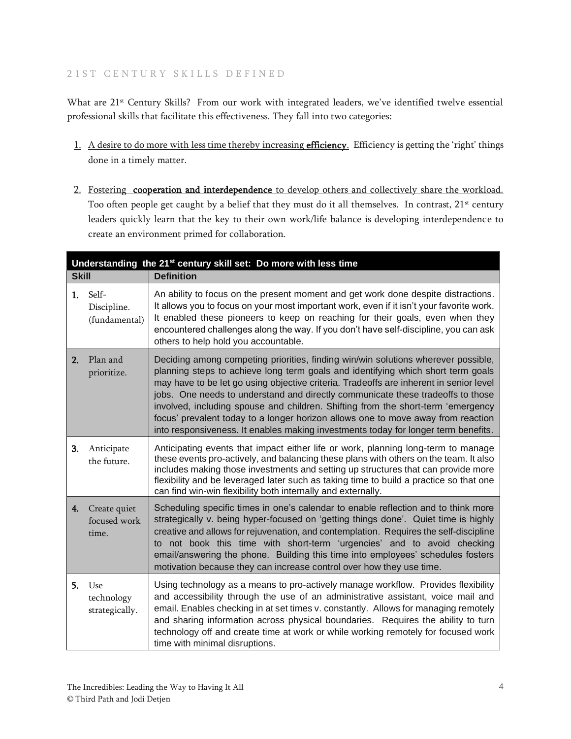#### 21 ST CENTURY SKILLS DEFINED

What are 21<sup>st</sup> Century Skills? From our work with integrated leaders, we've identified twelve essential professional skills that facilitate this effectiveness. They fall into two categories:

- 1. A desire to do more with less time thereby increasing efficiency. Efficiency is getting the 'right' things done in a timely matter.
- 2. Fostering cooperation and interdependence to develop others and collectively share the workload. Too often people get caught by a belief that they must do it all themselves. In contrast, 21<sup>st</sup> century leaders quickly learn that the key to their own work/life balance is developing interdependence to create an environment primed for collaboration.

| Understanding the 21 <sup>st</sup> century skill set: Do more with less time |                                       |                                                                                                                                                                                                                                                                                                                                                                                                                                                                                                                                                                                                                  |  |
|------------------------------------------------------------------------------|---------------------------------------|------------------------------------------------------------------------------------------------------------------------------------------------------------------------------------------------------------------------------------------------------------------------------------------------------------------------------------------------------------------------------------------------------------------------------------------------------------------------------------------------------------------------------------------------------------------------------------------------------------------|--|
| <b>Skill</b>                                                                 |                                       | <b>Definition</b>                                                                                                                                                                                                                                                                                                                                                                                                                                                                                                                                                                                                |  |
| 1.                                                                           | Self-<br>Discipline.<br>(fundamental) | An ability to focus on the present moment and get work done despite distractions.<br>It allows you to focus on your most important work, even if it isn't your favorite work.<br>It enabled these pioneers to keep on reaching for their goals, even when they<br>encountered challenges along the way. If you don't have self-discipline, you can ask<br>others to help hold you accountable.                                                                                                                                                                                                                   |  |
| 2.                                                                           | Plan and<br>prioritize.               | Deciding among competing priorities, finding win/win solutions wherever possible,<br>planning steps to achieve long term goals and identifying which short term goals<br>may have to be let go using objective criteria. Tradeoffs are inherent in senior level<br>jobs. One needs to understand and directly communicate these tradeoffs to those<br>involved, including spouse and children. Shifting from the short-term 'emergency<br>focus' prevalent today to a longer horizon allows one to move away from reaction<br>into responsiveness. It enables making investments today for longer term benefits. |  |
| 3.                                                                           | Anticipate<br>the future.             | Anticipating events that impact either life or work, planning long-term to manage<br>these events pro-actively, and balancing these plans with others on the team. It also<br>includes making those investments and setting up structures that can provide more<br>flexibility and be leveraged later such as taking time to build a practice so that one<br>can find win-win flexibility both internally and externally.                                                                                                                                                                                        |  |
| 4.                                                                           | Create quiet<br>focused work<br>time. | Scheduling specific times in one's calendar to enable reflection and to think more<br>strategically v. being hyper-focused on 'getting things done'. Quiet time is highly<br>creative and allows for rejuvenation, and contemplation. Requires the self-discipline<br>to not book this time with short-term 'urgencies' and to avoid checking<br>email/answering the phone. Building this time into employees' schedules fosters<br>motivation because they can increase control over how they use time.                                                                                                         |  |
| 5.                                                                           | Use<br>technology<br>strategically.   | Using technology as a means to pro-actively manage workflow. Provides flexibility<br>and accessibility through the use of an administrative assistant, voice mail and<br>email. Enables checking in at set times v. constantly. Allows for managing remotely<br>and sharing information across physical boundaries. Requires the ability to turn<br>technology off and create time at work or while working remotely for focused work<br>time with minimal disruptions.                                                                                                                                          |  |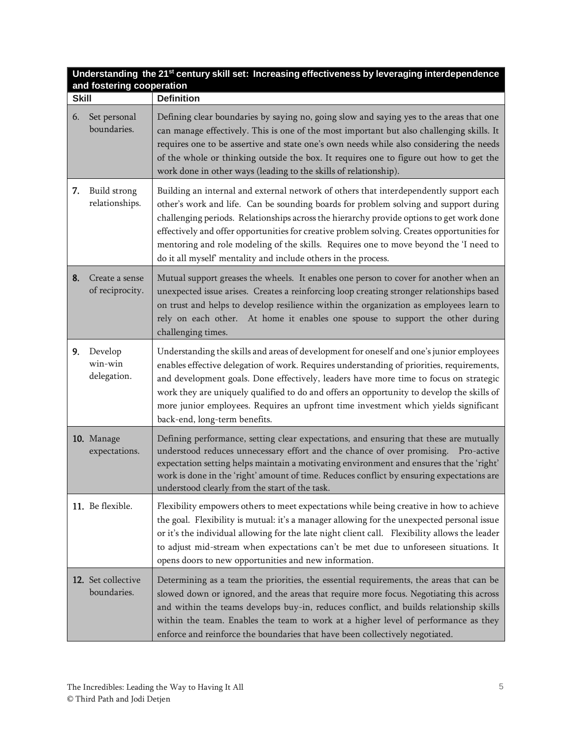| Understanding the 21 <sup>st</sup> century skill set: Increasing effectiveness by leveraging interdependence<br>and fostering cooperation |                                   |                                                                                                                                                                                                                                                                                                                                                                                                                                                                                                                                      |  |
|-------------------------------------------------------------------------------------------------------------------------------------------|-----------------------------------|--------------------------------------------------------------------------------------------------------------------------------------------------------------------------------------------------------------------------------------------------------------------------------------------------------------------------------------------------------------------------------------------------------------------------------------------------------------------------------------------------------------------------------------|--|
| <b>Skill</b>                                                                                                                              |                                   | <b>Definition</b>                                                                                                                                                                                                                                                                                                                                                                                                                                                                                                                    |  |
| 6.                                                                                                                                        | Set personal<br>boundaries.       | Defining clear boundaries by saying no, going slow and saying yes to the areas that one<br>can manage effectively. This is one of the most important but also challenging skills. It<br>requires one to be assertive and state one's own needs while also considering the needs<br>of the whole or thinking outside the box. It requires one to figure out how to get the<br>work done in other ways (leading to the skills of relationship).                                                                                        |  |
| 7.                                                                                                                                        | Build strong<br>relationships.    | Building an internal and external network of others that interdependently support each<br>other's work and life. Can be sounding boards for problem solving and support during<br>challenging periods. Relationships across the hierarchy provide options to get work done<br>effectively and offer opportunities for creative problem solving. Creates opportunities for<br>mentoring and role modeling of the skills. Requires one to move beyond the 'I need to<br>do it all myself' mentality and include others in the process. |  |
| 8.                                                                                                                                        | Create a sense<br>of reciprocity. | Mutual support greases the wheels. It enables one person to cover for another when an<br>unexpected issue arises. Creates a reinforcing loop creating stronger relationships based<br>on trust and helps to develop resilience within the organization as employees learn to<br>rely on each other. At home it enables one spouse to support the other during<br>challenging times.                                                                                                                                                  |  |
| 9.                                                                                                                                        | Develop<br>win-win<br>delegation. | Understanding the skills and areas of development for oneself and one's junior employees<br>enables effective delegation of work. Requires understanding of priorities, requirements,<br>and development goals. Done effectively, leaders have more time to focus on strategic<br>work they are uniquely qualified to do and offers an opportunity to develop the skills of<br>more junior employees. Requires an upfront time investment which yields significant<br>back-end, long-term benefits.                                  |  |
|                                                                                                                                           | 10. Manage<br>expectations.       | Defining performance, setting clear expectations, and ensuring that these are mutually<br>understood reduces unnecessary effort and the chance of over promising. Pro-active<br>expectation setting helps maintain a motivating environment and ensures that the 'right'<br>work is done in the 'right' amount of time. Reduces conflict by ensuring expectations are<br>understood clearly from the start of the task.                                                                                                              |  |
|                                                                                                                                           | 11. Be flexible.                  | Flexibility empowers others to meet expectations while being creative in how to achieve<br>the goal. Flexibility is mutual: it's a manager allowing for the unexpected personal issue<br>or it's the individual allowing for the late night client call. Flexibility allows the leader<br>to adjust mid-stream when expectations can't be met due to unforeseen situations. It<br>opens doors to new opportunities and new information.                                                                                              |  |
|                                                                                                                                           | 12. Set collective<br>boundaries. | Determining as a team the priorities, the essential requirements, the areas that can be<br>slowed down or ignored, and the areas that require more focus. Negotiating this across<br>and within the teams develops buy-in, reduces conflict, and builds relationship skills<br>within the team. Enables the team to work at a higher level of performance as they<br>enforce and reinforce the boundaries that have been collectively negotiated.                                                                                    |  |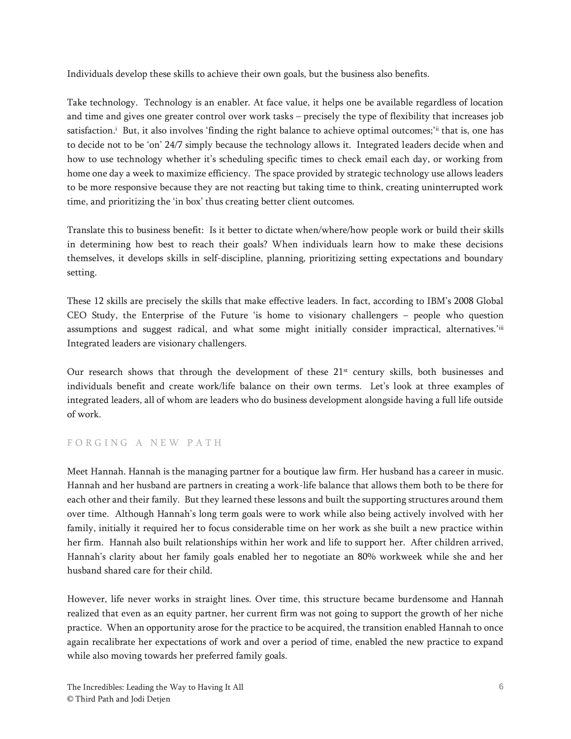Individuals develop these skills to achieve their own goals, but the business also benefits.

Take technology. Technology is an enabler. At face value, it helps one be available regardless of location and time and gives one greater control over work tasks – precisely the type of flexibility that increases job satisfaction.<sup>i</sup> But, it also involves 'finding the right balance to achieve optimal outcomes;'<sup>ii</sup> that is, one has to decide not to be 'on' 24/7 simply because the technology allows it. Integrated leaders decide when and how to use technology whether it's scheduling specific times to check email each day, or working from home one day a week to maximize efficiency. The space provided by strategic technology use allows leaders to be more responsive because they are not reacting but taking time to think, creating uninterrupted work time, and prioritizing the 'in box' thus creating better client outcomes.

Translate this to business benefit: Is it better to dictate when/where/how people work or build their skills in determining how best to reach their goals? When individuals learn how to make these decisions themselves, it develops skills in self-discipline, planning, prioritizing setting expectations and boundary setting.

These 12 skills are precisely the skills that make effective leaders. In fact, according to IBM's 2008 Global CEO Study, the Enterprise of the Future 'is home to visionary challengers – people who question assumptions and suggest radical, and what some might initially consider impractical, alternatives.'iii Integrated leaders are visionary challengers.

Our research shows that through the development of these  $21<sup>st</sup>$  century skills, both businesses and individuals benefit and create work/life balance on their own terms. Let's look at three examples of integrated leaders, all of whom are leaders who do business development alongside having a full life outside of work.

#### FORGING A NEW PATH

Meet Hannah. Hannah is the managing partner for a boutique law firm. Her husband has a career in music. Hannah and her husband are partners in creating a work-life balance that allows them both to be there for each other and their family. But they learned these lessons and built the supporting structures around them over time. Although Hannah's long term goals were to work while also being actively involved with her family, initially it required her to focus considerable time on her work as she built a new practice within her firm. Hannah also built relationships within her work and life to support her. After children arrived, Hannah's clarity about her family goals enabled her to negotiate an 80% workweek while she and her husband shared care for their child.

However, life never works in straight lines. Over time, this structure became burdensome and Hannah realized that even as an equity partner, her current firm was not going to support the growth of her niche practice. When an opportunity arose for the practice to be acquired, the transition enabled Hannah to once again recalibrate her expectations of work and over a period of time, enabled the new practice to expand while also moving towards her preferred family goals.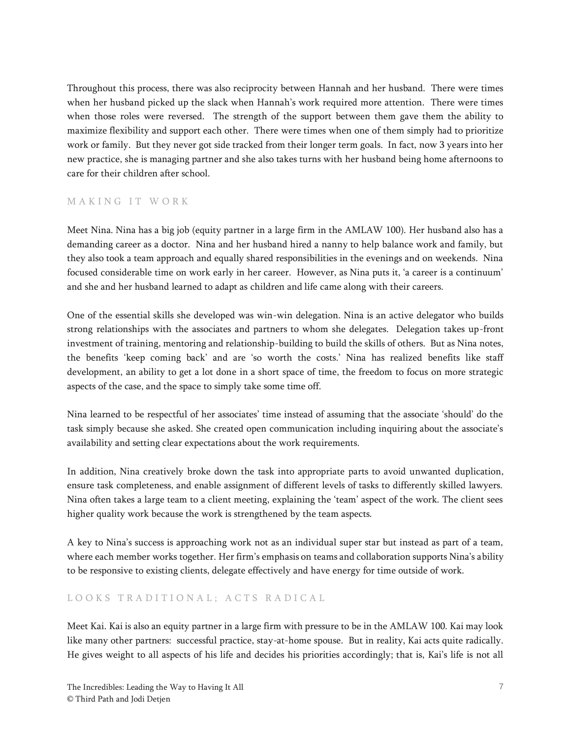Throughout this process, there was also reciprocity between Hannah and her husband. There were times when her husband picked up the slack when Hannah's work required more attention. There were times when those roles were reversed. The strength of the support between them gave them the ability to maximize flexibility and support each other. There were times when one of them simply had to prioritize work or family. But they never got side tracked from their longer term goals. In fact, now 3 years into her new practice, she is managing partner and she also takes turns with her husband being home afternoons to care for their children after school.

#### MAKING IT WORK

Meet Nina. Nina has a big job (equity partner in a large firm in the AMLAW 100). Her husband also has a demanding career as a doctor. Nina and her husband hired a nanny to help balance work and family, but they also took a team approach and equally shared responsibilities in the evenings and on weekends. Nina focused considerable time on work early in her career. However, as Nina puts it, 'a career is a continuum' and she and her husband learned to adapt as children and life came along with their careers.

One of the essential skills she developed was win-win delegation. Nina is an active delegator who builds strong relationships with the associates and partners to whom she delegates. Delegation takes up-front investment of training, mentoring and relationship-building to build the skills of others. But as Nina notes, the benefits 'keep coming back' and are 'so worth the costs.' Nina has realized benefits like staff development, an ability to get a lot done in a short space of time, the freedom to focus on more strategic aspects of the case, and the space to simply take some time off.

Nina learned to be respectful of her associates' time instead of assuming that the associate 'should' do the task simply because she asked. She created open communication including inquiring about the associate's availability and setting clear expectations about the work requirements.

In addition, Nina creatively broke down the task into appropriate parts to avoid unwanted duplication, ensure task completeness, and enable assignment of different levels of tasks to differently skilled lawyers. Nina often takes a large team to a client meeting, explaining the 'team' aspect of the work. The client sees higher quality work because the work is strengthened by the team aspects.

A key to Nina's success is approaching work not as an individual super star but instead as part of a team, where each member works together. Her firm's emphasis on teams and collaboration supports Nina's ability to be responsive to existing clients, delegate effectively and have energy for time outside of work.

#### LOOKS TRADITIONAL; ACTS RADICAL

Meet Kai. Kai is also an equity partner in a large firm with pressure to be in the AMLAW 100. Kai may look like many other partners: successful practice, stay-at-home spouse. But in reality, Kai acts quite radically. He gives weight to all aspects of his life and decides his priorities accordingly; that is, Kai's life is not all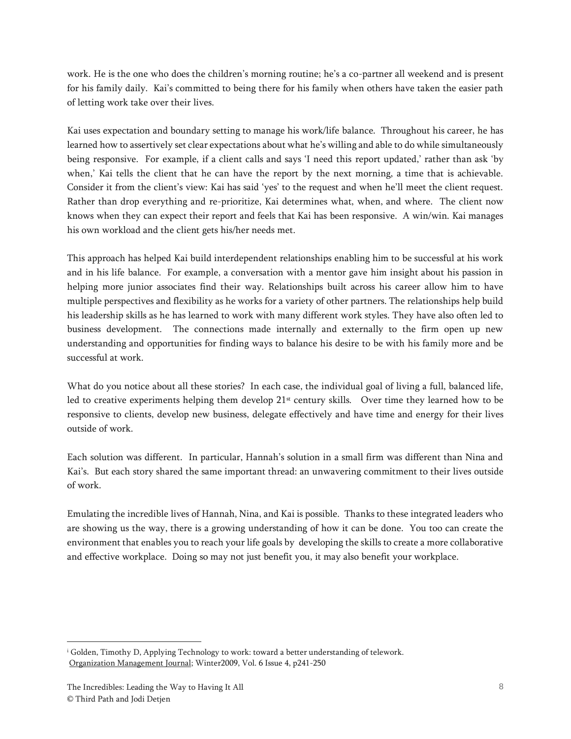work. He is the one who does the children's morning routine; he's a co-partner all weekend and is present for his family daily. Kai's committed to being there for his family when others have taken the easier path of letting work take over their lives.

Kai uses expectation and boundary setting to manage his work/life balance. Throughout his career, he has learned how to assertively set clear expectations about what he's willing and able to do while simultaneously being responsive. For example, if a client calls and says 'I need this report updated,' rather than ask 'by when,' Kai tells the client that he can have the report by the next morning, a time that is achievable. Consider it from the client's view: Kai has said 'yes' to the request and when he'll meet the client request. Rather than drop everything and re-prioritize, Kai determines what, when, and where. The client now knows when they can expect their report and feels that Kai has been responsive. A win/win. Kai manages his own workload and the client gets his/her needs met.

This approach has helped Kai build interdependent relationships enabling him to be successful at his work and in his life balance. For example, a conversation with a mentor gave him insight about his passion in helping more junior associates find their way. Relationships built across his career allow him to have multiple perspectives and flexibility as he works for a variety of other partners. The relationships help build his leadership skills as he has learned to work with many different work styles. They have also often led to business development. The connections made internally and externally to the firm open up new understanding and opportunities for finding ways to balance his desire to be with his family more and be successful at work.

What do you notice about all these stories? In each case, the individual goal of living a full, balanced life, led to creative experiments helping them develop 21<sup>st</sup> century skills. Over time they learned how to be responsive to clients, develop new business, delegate effectively and have time and energy for their lives outside of work.

Each solution was different. In particular, Hannah's solution in a small firm was different than Nina and Kai's. But each story shared the same important thread: an unwavering commitment to their lives outside of work.

Emulating the incredible lives of Hannah, Nina, and Kai is possible. Thanks to these integrated leaders who are showing us the way, there is a growing understanding of how it can be done. You too can create the environment that enables you to reach your life goals by developing the skills to create a more collaborative and effective workplace. Doing so may not just benefit you, it may also benefit your workplace.

<sup>i</sup> Golden, Timothy D, Applying Technology to work: toward a better understanding of telework. Organization Management Journal; Winter2009, Vol. 6 Issue 4, p241-250